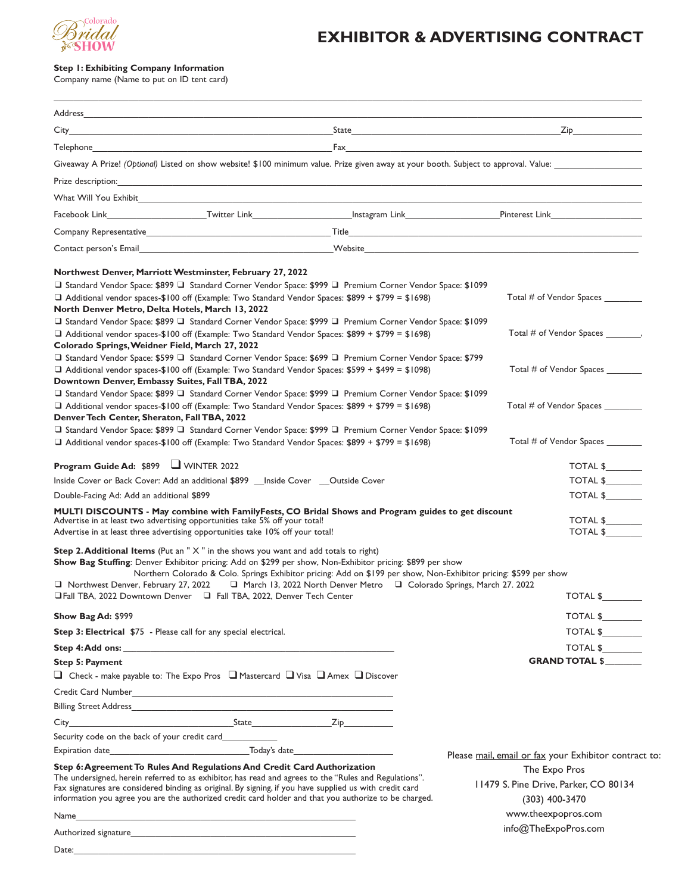

## **EXHIBITOR & ADVERTISING CONTRACT**

## **Step 1: Exhibiting Company Information**

Company name (Name to put on ID tent card)

| Giveaway A Prize! (Optional) Listed on show website! \$100 minimum value. Prize given away at your booth. Subject to approval. Value:<br>Company Representative <b>Exercise Company Representative Company Representative Company Representative</b><br><b>Contact person's Email contact and Contact and Contact person's Email contact person's Email</b><br>Northwest Denver, Marriott Westminster, February 27, 2022<br>□ Standard Vendor Space: \$899 □ Standard Corner Vendor Space: \$999 □ Premium Corner Vendor Space: \$1099<br>Total # of Vendor Spaces<br>$\Box$ Additional vendor spaces-\$100 off (Example: Two Standard Vendor Spaces: \$899 + \$799 = \$1698)<br>North Denver Metro, Delta Hotels, March 13, 2022<br>□ Standard Vendor Space: \$899 □ Standard Corner Vendor Space: \$999 □ Premium Corner Vendor Space: \$1099<br>Total # of Vendor Spaces<br>□ Additional vendor spaces-\$100 off (Example: Two Standard Vendor Spaces: \$899 + \$799 = \$1698)<br>Colorado Springs, Weidner Field, March 27, 2022<br>□ Standard Vendor Space: \$599 □ Standard Corner Vendor Space: \$699 □ Premium Corner Vendor Space: \$799<br>$\Box$ Additional vendor spaces-\$100 off (Example: Two Standard Vendor Spaces: \$599 + \$499 = \$1098)<br>Total # of Vendor Spaces<br>Downtown Denver, Embassy Suites, Fall TBA, 2022<br>□ Standard Vendor Space: \$899 □ Standard Corner Vendor Space: \$999 □ Premium Corner Vendor Space: \$1099<br>Total # of Vendor Spaces<br>$\Box$ Additional vendor spaces-\$100 off (Example: Two Standard Vendor Spaces: \$899 + \$799 = \$1698)<br>Denver Tech Center, Sheraton, Fall TBA, 2022<br>□ Standard Vendor Space: \$899 □ Standard Corner Vendor Space: \$999 □ Premium Corner Vendor Space: \$1099<br>□ Additional vendor spaces-\$100 off (Example: Two Standard Vendor Spaces: \$899 + \$799 = \$1698)<br>Total # of Vendor Spaces<br><b>Program Guide Ad: \$899 JU WINTER 2022</b><br>TOTAL \$<br>Inside Cover or Back Cover: Add an additional \$899 __ Inside Cover __ Outside Cover<br>TOTAL \$<br>Double-Facing Ad: Add an additional \$899<br>TOTAL \$<br>MULTI DISCOUNTS - May combine with FamilyFests, CO Bridal Shows and Program guides to get discount<br>TOTAL \$<br>Advertise in at least two advertising opportunities take 5% off your total!<br>TOTAL \$<br>Advertise in at least three advertising opportunities take 10% off your total!<br><b>Step 2. Additional Items</b> (Put an " $X$ " in the shows you want and add totals to right)<br>Show Bag Stuffing: Denver Exhibitor pricing: Add on \$299 per show, Non-Exhibitor pricing: \$899 per show<br>Northern Colorado & Colo. Springs Exhibitor pricing: Add on \$199 per show, Non-Exhibitor pricing: \$599 per show<br>□ Northwest Denver, February 27, 2022         □ March 13, 2022 North Denver Metro     □ Colorado Springs, March 27. 2022<br>□ Fall TBA, 2022 Downtown Denver □ Fall TBA, 2022, Denver Tech Center<br><b>TOTAL \$</b><br>TOTAL \$<br>Show Bag Ad: \$999<br>TOTAL \$<br>Step 3: Electrical \$75 - Please call for any special electrical.<br>TOTAL \$<br><b>GRAND TOTAL \$</b><br><b>Step 5: Payment</b><br>$\Box$ Check - make payable to: The Expo Pros $\Box$ Mastercard $\Box$ Visa $\Box$ Amex $\Box$ Discover<br>Security code on the back of your credit card____________<br>Step 6: Agreement To Rules And Regulations And Credit Card Authorization<br>The Expo Pros<br>The undersigned, herein referred to as exhibitor, has read and agrees to the "Rules and Regulations".<br>11479 S. Pine Drive, Parker, CO 80134<br>Fax signatures are considered binding as original. By signing, if you have supplied us with credit card<br>information you agree you are the authorized credit card holder and that you authorize to be charged.<br>(303) 400-3470<br>www.theexpopros.com<br>info@TheExpoPros.com<br>Authorized signature that is a state of the control of the control of the control of the control of the control of the control of the control of the control of the control of the control of the control of the control of th |       |  |                                                       |
|-----------------------------------------------------------------------------------------------------------------------------------------------------------------------------------------------------------------------------------------------------------------------------------------------------------------------------------------------------------------------------------------------------------------------------------------------------------------------------------------------------------------------------------------------------------------------------------------------------------------------------------------------------------------------------------------------------------------------------------------------------------------------------------------------------------------------------------------------------------------------------------------------------------------------------------------------------------------------------------------------------------------------------------------------------------------------------------------------------------------------------------------------------------------------------------------------------------------------------------------------------------------------------------------------------------------------------------------------------------------------------------------------------------------------------------------------------------------------------------------------------------------------------------------------------------------------------------------------------------------------------------------------------------------------------------------------------------------------------------------------------------------------------------------------------------------------------------------------------------------------------------------------------------------------------------------------------------------------------------------------------------------------------------------------------------------------------------------------------------------------------------------------------------------------------------------------------------------------------------------------------------------------------------------------------------------------------------------------------------------------------------------------------------------------------------------------------------------------------------------------------------------------------------------------------------------------------------------------------------------------------------------------------------------------------------------------------------------------------------------------------------------------------------------------------------------------------------------------------------------------------------------------------------------------------------------------------------------------------------------------------------------------------------------------------------------------------------------------------------------------------------------------------------------------------------------------------------------------------------------------------------------------------------------------------------------------------------------------------------------------------------------------------------------------------------------------------------------------------------------------------------------------------------------------------------------------------------------------------------------------------------------------------------------------------------------------------------------------------------------------------------------------------------------------------------------------------------------------------------------------------------------------------------------------------------------------------------------------------------------------------------------------------------------------------------------------------------------------------------------------|-------|--|-------------------------------------------------------|
|                                                                                                                                                                                                                                                                                                                                                                                                                                                                                                                                                                                                                                                                                                                                                                                                                                                                                                                                                                                                                                                                                                                                                                                                                                                                                                                                                                                                                                                                                                                                                                                                                                                                                                                                                                                                                                                                                                                                                                                                                                                                                                                                                                                                                                                                                                                                                                                                                                                                                                                                                                                                                                                                                                                                                                                                                                                                                                                                                                                                                                                                                                                                                                                                                                                                                                                                                                                                                                                                                                                                                                                                                                                                                                                                                                                                                                                                                                                                                                                                                                                                                                                       |       |  |                                                       |
|                                                                                                                                                                                                                                                                                                                                                                                                                                                                                                                                                                                                                                                                                                                                                                                                                                                                                                                                                                                                                                                                                                                                                                                                                                                                                                                                                                                                                                                                                                                                                                                                                                                                                                                                                                                                                                                                                                                                                                                                                                                                                                                                                                                                                                                                                                                                                                                                                                                                                                                                                                                                                                                                                                                                                                                                                                                                                                                                                                                                                                                                                                                                                                                                                                                                                                                                                                                                                                                                                                                                                                                                                                                                                                                                                                                                                                                                                                                                                                                                                                                                                                                       |       |  |                                                       |
|                                                                                                                                                                                                                                                                                                                                                                                                                                                                                                                                                                                                                                                                                                                                                                                                                                                                                                                                                                                                                                                                                                                                                                                                                                                                                                                                                                                                                                                                                                                                                                                                                                                                                                                                                                                                                                                                                                                                                                                                                                                                                                                                                                                                                                                                                                                                                                                                                                                                                                                                                                                                                                                                                                                                                                                                                                                                                                                                                                                                                                                                                                                                                                                                                                                                                                                                                                                                                                                                                                                                                                                                                                                                                                                                                                                                                                                                                                                                                                                                                                                                                                                       |       |  |                                                       |
|                                                                                                                                                                                                                                                                                                                                                                                                                                                                                                                                                                                                                                                                                                                                                                                                                                                                                                                                                                                                                                                                                                                                                                                                                                                                                                                                                                                                                                                                                                                                                                                                                                                                                                                                                                                                                                                                                                                                                                                                                                                                                                                                                                                                                                                                                                                                                                                                                                                                                                                                                                                                                                                                                                                                                                                                                                                                                                                                                                                                                                                                                                                                                                                                                                                                                                                                                                                                                                                                                                                                                                                                                                                                                                                                                                                                                                                                                                                                                                                                                                                                                                                       |       |  |                                                       |
|                                                                                                                                                                                                                                                                                                                                                                                                                                                                                                                                                                                                                                                                                                                                                                                                                                                                                                                                                                                                                                                                                                                                                                                                                                                                                                                                                                                                                                                                                                                                                                                                                                                                                                                                                                                                                                                                                                                                                                                                                                                                                                                                                                                                                                                                                                                                                                                                                                                                                                                                                                                                                                                                                                                                                                                                                                                                                                                                                                                                                                                                                                                                                                                                                                                                                                                                                                                                                                                                                                                                                                                                                                                                                                                                                                                                                                                                                                                                                                                                                                                                                                                       |       |  |                                                       |
|                                                                                                                                                                                                                                                                                                                                                                                                                                                                                                                                                                                                                                                                                                                                                                                                                                                                                                                                                                                                                                                                                                                                                                                                                                                                                                                                                                                                                                                                                                                                                                                                                                                                                                                                                                                                                                                                                                                                                                                                                                                                                                                                                                                                                                                                                                                                                                                                                                                                                                                                                                                                                                                                                                                                                                                                                                                                                                                                                                                                                                                                                                                                                                                                                                                                                                                                                                                                                                                                                                                                                                                                                                                                                                                                                                                                                                                                                                                                                                                                                                                                                                                       |       |  |                                                       |
|                                                                                                                                                                                                                                                                                                                                                                                                                                                                                                                                                                                                                                                                                                                                                                                                                                                                                                                                                                                                                                                                                                                                                                                                                                                                                                                                                                                                                                                                                                                                                                                                                                                                                                                                                                                                                                                                                                                                                                                                                                                                                                                                                                                                                                                                                                                                                                                                                                                                                                                                                                                                                                                                                                                                                                                                                                                                                                                                                                                                                                                                                                                                                                                                                                                                                                                                                                                                                                                                                                                                                                                                                                                                                                                                                                                                                                                                                                                                                                                                                                                                                                                       |       |  |                                                       |
|                                                                                                                                                                                                                                                                                                                                                                                                                                                                                                                                                                                                                                                                                                                                                                                                                                                                                                                                                                                                                                                                                                                                                                                                                                                                                                                                                                                                                                                                                                                                                                                                                                                                                                                                                                                                                                                                                                                                                                                                                                                                                                                                                                                                                                                                                                                                                                                                                                                                                                                                                                                                                                                                                                                                                                                                                                                                                                                                                                                                                                                                                                                                                                                                                                                                                                                                                                                                                                                                                                                                                                                                                                                                                                                                                                                                                                                                                                                                                                                                                                                                                                                       |       |  |                                                       |
|                                                                                                                                                                                                                                                                                                                                                                                                                                                                                                                                                                                                                                                                                                                                                                                                                                                                                                                                                                                                                                                                                                                                                                                                                                                                                                                                                                                                                                                                                                                                                                                                                                                                                                                                                                                                                                                                                                                                                                                                                                                                                                                                                                                                                                                                                                                                                                                                                                                                                                                                                                                                                                                                                                                                                                                                                                                                                                                                                                                                                                                                                                                                                                                                                                                                                                                                                                                                                                                                                                                                                                                                                                                                                                                                                                                                                                                                                                                                                                                                                                                                                                                       |       |  |                                                       |
|                                                                                                                                                                                                                                                                                                                                                                                                                                                                                                                                                                                                                                                                                                                                                                                                                                                                                                                                                                                                                                                                                                                                                                                                                                                                                                                                                                                                                                                                                                                                                                                                                                                                                                                                                                                                                                                                                                                                                                                                                                                                                                                                                                                                                                                                                                                                                                                                                                                                                                                                                                                                                                                                                                                                                                                                                                                                                                                                                                                                                                                                                                                                                                                                                                                                                                                                                                                                                                                                                                                                                                                                                                                                                                                                                                                                                                                                                                                                                                                                                                                                                                                       |       |  |                                                       |
|                                                                                                                                                                                                                                                                                                                                                                                                                                                                                                                                                                                                                                                                                                                                                                                                                                                                                                                                                                                                                                                                                                                                                                                                                                                                                                                                                                                                                                                                                                                                                                                                                                                                                                                                                                                                                                                                                                                                                                                                                                                                                                                                                                                                                                                                                                                                                                                                                                                                                                                                                                                                                                                                                                                                                                                                                                                                                                                                                                                                                                                                                                                                                                                                                                                                                                                                                                                                                                                                                                                                                                                                                                                                                                                                                                                                                                                                                                                                                                                                                                                                                                                       |       |  |                                                       |
|                                                                                                                                                                                                                                                                                                                                                                                                                                                                                                                                                                                                                                                                                                                                                                                                                                                                                                                                                                                                                                                                                                                                                                                                                                                                                                                                                                                                                                                                                                                                                                                                                                                                                                                                                                                                                                                                                                                                                                                                                                                                                                                                                                                                                                                                                                                                                                                                                                                                                                                                                                                                                                                                                                                                                                                                                                                                                                                                                                                                                                                                                                                                                                                                                                                                                                                                                                                                                                                                                                                                                                                                                                                                                                                                                                                                                                                                                                                                                                                                                                                                                                                       |       |  |                                                       |
|                                                                                                                                                                                                                                                                                                                                                                                                                                                                                                                                                                                                                                                                                                                                                                                                                                                                                                                                                                                                                                                                                                                                                                                                                                                                                                                                                                                                                                                                                                                                                                                                                                                                                                                                                                                                                                                                                                                                                                                                                                                                                                                                                                                                                                                                                                                                                                                                                                                                                                                                                                                                                                                                                                                                                                                                                                                                                                                                                                                                                                                                                                                                                                                                                                                                                                                                                                                                                                                                                                                                                                                                                                                                                                                                                                                                                                                                                                                                                                                                                                                                                                                       |       |  |                                                       |
|                                                                                                                                                                                                                                                                                                                                                                                                                                                                                                                                                                                                                                                                                                                                                                                                                                                                                                                                                                                                                                                                                                                                                                                                                                                                                                                                                                                                                                                                                                                                                                                                                                                                                                                                                                                                                                                                                                                                                                                                                                                                                                                                                                                                                                                                                                                                                                                                                                                                                                                                                                                                                                                                                                                                                                                                                                                                                                                                                                                                                                                                                                                                                                                                                                                                                                                                                                                                                                                                                                                                                                                                                                                                                                                                                                                                                                                                                                                                                                                                                                                                                                                       |       |  |                                                       |
|                                                                                                                                                                                                                                                                                                                                                                                                                                                                                                                                                                                                                                                                                                                                                                                                                                                                                                                                                                                                                                                                                                                                                                                                                                                                                                                                                                                                                                                                                                                                                                                                                                                                                                                                                                                                                                                                                                                                                                                                                                                                                                                                                                                                                                                                                                                                                                                                                                                                                                                                                                                                                                                                                                                                                                                                                                                                                                                                                                                                                                                                                                                                                                                                                                                                                                                                                                                                                                                                                                                                                                                                                                                                                                                                                                                                                                                                                                                                                                                                                                                                                                                       |       |  |                                                       |
|                                                                                                                                                                                                                                                                                                                                                                                                                                                                                                                                                                                                                                                                                                                                                                                                                                                                                                                                                                                                                                                                                                                                                                                                                                                                                                                                                                                                                                                                                                                                                                                                                                                                                                                                                                                                                                                                                                                                                                                                                                                                                                                                                                                                                                                                                                                                                                                                                                                                                                                                                                                                                                                                                                                                                                                                                                                                                                                                                                                                                                                                                                                                                                                                                                                                                                                                                                                                                                                                                                                                                                                                                                                                                                                                                                                                                                                                                                                                                                                                                                                                                                                       |       |  |                                                       |
|                                                                                                                                                                                                                                                                                                                                                                                                                                                                                                                                                                                                                                                                                                                                                                                                                                                                                                                                                                                                                                                                                                                                                                                                                                                                                                                                                                                                                                                                                                                                                                                                                                                                                                                                                                                                                                                                                                                                                                                                                                                                                                                                                                                                                                                                                                                                                                                                                                                                                                                                                                                                                                                                                                                                                                                                                                                                                                                                                                                                                                                                                                                                                                                                                                                                                                                                                                                                                                                                                                                                                                                                                                                                                                                                                                                                                                                                                                                                                                                                                                                                                                                       |       |  |                                                       |
|                                                                                                                                                                                                                                                                                                                                                                                                                                                                                                                                                                                                                                                                                                                                                                                                                                                                                                                                                                                                                                                                                                                                                                                                                                                                                                                                                                                                                                                                                                                                                                                                                                                                                                                                                                                                                                                                                                                                                                                                                                                                                                                                                                                                                                                                                                                                                                                                                                                                                                                                                                                                                                                                                                                                                                                                                                                                                                                                                                                                                                                                                                                                                                                                                                                                                                                                                                                                                                                                                                                                                                                                                                                                                                                                                                                                                                                                                                                                                                                                                                                                                                                       |       |  |                                                       |
|                                                                                                                                                                                                                                                                                                                                                                                                                                                                                                                                                                                                                                                                                                                                                                                                                                                                                                                                                                                                                                                                                                                                                                                                                                                                                                                                                                                                                                                                                                                                                                                                                                                                                                                                                                                                                                                                                                                                                                                                                                                                                                                                                                                                                                                                                                                                                                                                                                                                                                                                                                                                                                                                                                                                                                                                                                                                                                                                                                                                                                                                                                                                                                                                                                                                                                                                                                                                                                                                                                                                                                                                                                                                                                                                                                                                                                                                                                                                                                                                                                                                                                                       |       |  |                                                       |
|                                                                                                                                                                                                                                                                                                                                                                                                                                                                                                                                                                                                                                                                                                                                                                                                                                                                                                                                                                                                                                                                                                                                                                                                                                                                                                                                                                                                                                                                                                                                                                                                                                                                                                                                                                                                                                                                                                                                                                                                                                                                                                                                                                                                                                                                                                                                                                                                                                                                                                                                                                                                                                                                                                                                                                                                                                                                                                                                                                                                                                                                                                                                                                                                                                                                                                                                                                                                                                                                                                                                                                                                                                                                                                                                                                                                                                                                                                                                                                                                                                                                                                                       |       |  |                                                       |
|                                                                                                                                                                                                                                                                                                                                                                                                                                                                                                                                                                                                                                                                                                                                                                                                                                                                                                                                                                                                                                                                                                                                                                                                                                                                                                                                                                                                                                                                                                                                                                                                                                                                                                                                                                                                                                                                                                                                                                                                                                                                                                                                                                                                                                                                                                                                                                                                                                                                                                                                                                                                                                                                                                                                                                                                                                                                                                                                                                                                                                                                                                                                                                                                                                                                                                                                                                                                                                                                                                                                                                                                                                                                                                                                                                                                                                                                                                                                                                                                                                                                                                                       |       |  |                                                       |
|                                                                                                                                                                                                                                                                                                                                                                                                                                                                                                                                                                                                                                                                                                                                                                                                                                                                                                                                                                                                                                                                                                                                                                                                                                                                                                                                                                                                                                                                                                                                                                                                                                                                                                                                                                                                                                                                                                                                                                                                                                                                                                                                                                                                                                                                                                                                                                                                                                                                                                                                                                                                                                                                                                                                                                                                                                                                                                                                                                                                                                                                                                                                                                                                                                                                                                                                                                                                                                                                                                                                                                                                                                                                                                                                                                                                                                                                                                                                                                                                                                                                                                                       |       |  |                                                       |
|                                                                                                                                                                                                                                                                                                                                                                                                                                                                                                                                                                                                                                                                                                                                                                                                                                                                                                                                                                                                                                                                                                                                                                                                                                                                                                                                                                                                                                                                                                                                                                                                                                                                                                                                                                                                                                                                                                                                                                                                                                                                                                                                                                                                                                                                                                                                                                                                                                                                                                                                                                                                                                                                                                                                                                                                                                                                                                                                                                                                                                                                                                                                                                                                                                                                                                                                                                                                                                                                                                                                                                                                                                                                                                                                                                                                                                                                                                                                                                                                                                                                                                                       |       |  |                                                       |
|                                                                                                                                                                                                                                                                                                                                                                                                                                                                                                                                                                                                                                                                                                                                                                                                                                                                                                                                                                                                                                                                                                                                                                                                                                                                                                                                                                                                                                                                                                                                                                                                                                                                                                                                                                                                                                                                                                                                                                                                                                                                                                                                                                                                                                                                                                                                                                                                                                                                                                                                                                                                                                                                                                                                                                                                                                                                                                                                                                                                                                                                                                                                                                                                                                                                                                                                                                                                                                                                                                                                                                                                                                                                                                                                                                                                                                                                                                                                                                                                                                                                                                                       |       |  |                                                       |
|                                                                                                                                                                                                                                                                                                                                                                                                                                                                                                                                                                                                                                                                                                                                                                                                                                                                                                                                                                                                                                                                                                                                                                                                                                                                                                                                                                                                                                                                                                                                                                                                                                                                                                                                                                                                                                                                                                                                                                                                                                                                                                                                                                                                                                                                                                                                                                                                                                                                                                                                                                                                                                                                                                                                                                                                                                                                                                                                                                                                                                                                                                                                                                                                                                                                                                                                                                                                                                                                                                                                                                                                                                                                                                                                                                                                                                                                                                                                                                                                                                                                                                                       |       |  |                                                       |
|                                                                                                                                                                                                                                                                                                                                                                                                                                                                                                                                                                                                                                                                                                                                                                                                                                                                                                                                                                                                                                                                                                                                                                                                                                                                                                                                                                                                                                                                                                                                                                                                                                                                                                                                                                                                                                                                                                                                                                                                                                                                                                                                                                                                                                                                                                                                                                                                                                                                                                                                                                                                                                                                                                                                                                                                                                                                                                                                                                                                                                                                                                                                                                                                                                                                                                                                                                                                                                                                                                                                                                                                                                                                                                                                                                                                                                                                                                                                                                                                                                                                                                                       |       |  |                                                       |
|                                                                                                                                                                                                                                                                                                                                                                                                                                                                                                                                                                                                                                                                                                                                                                                                                                                                                                                                                                                                                                                                                                                                                                                                                                                                                                                                                                                                                                                                                                                                                                                                                                                                                                                                                                                                                                                                                                                                                                                                                                                                                                                                                                                                                                                                                                                                                                                                                                                                                                                                                                                                                                                                                                                                                                                                                                                                                                                                                                                                                                                                                                                                                                                                                                                                                                                                                                                                                                                                                                                                                                                                                                                                                                                                                                                                                                                                                                                                                                                                                                                                                                                       |       |  |                                                       |
|                                                                                                                                                                                                                                                                                                                                                                                                                                                                                                                                                                                                                                                                                                                                                                                                                                                                                                                                                                                                                                                                                                                                                                                                                                                                                                                                                                                                                                                                                                                                                                                                                                                                                                                                                                                                                                                                                                                                                                                                                                                                                                                                                                                                                                                                                                                                                                                                                                                                                                                                                                                                                                                                                                                                                                                                                                                                                                                                                                                                                                                                                                                                                                                                                                                                                                                                                                                                                                                                                                                                                                                                                                                                                                                                                                                                                                                                                                                                                                                                                                                                                                                       |       |  |                                                       |
|                                                                                                                                                                                                                                                                                                                                                                                                                                                                                                                                                                                                                                                                                                                                                                                                                                                                                                                                                                                                                                                                                                                                                                                                                                                                                                                                                                                                                                                                                                                                                                                                                                                                                                                                                                                                                                                                                                                                                                                                                                                                                                                                                                                                                                                                                                                                                                                                                                                                                                                                                                                                                                                                                                                                                                                                                                                                                                                                                                                                                                                                                                                                                                                                                                                                                                                                                                                                                                                                                                                                                                                                                                                                                                                                                                                                                                                                                                                                                                                                                                                                                                                       |       |  |                                                       |
|                                                                                                                                                                                                                                                                                                                                                                                                                                                                                                                                                                                                                                                                                                                                                                                                                                                                                                                                                                                                                                                                                                                                                                                                                                                                                                                                                                                                                                                                                                                                                                                                                                                                                                                                                                                                                                                                                                                                                                                                                                                                                                                                                                                                                                                                                                                                                                                                                                                                                                                                                                                                                                                                                                                                                                                                                                                                                                                                                                                                                                                                                                                                                                                                                                                                                                                                                                                                                                                                                                                                                                                                                                                                                                                                                                                                                                                                                                                                                                                                                                                                                                                       |       |  |                                                       |
|                                                                                                                                                                                                                                                                                                                                                                                                                                                                                                                                                                                                                                                                                                                                                                                                                                                                                                                                                                                                                                                                                                                                                                                                                                                                                                                                                                                                                                                                                                                                                                                                                                                                                                                                                                                                                                                                                                                                                                                                                                                                                                                                                                                                                                                                                                                                                                                                                                                                                                                                                                                                                                                                                                                                                                                                                                                                                                                                                                                                                                                                                                                                                                                                                                                                                                                                                                                                                                                                                                                                                                                                                                                                                                                                                                                                                                                                                                                                                                                                                                                                                                                       |       |  |                                                       |
|                                                                                                                                                                                                                                                                                                                                                                                                                                                                                                                                                                                                                                                                                                                                                                                                                                                                                                                                                                                                                                                                                                                                                                                                                                                                                                                                                                                                                                                                                                                                                                                                                                                                                                                                                                                                                                                                                                                                                                                                                                                                                                                                                                                                                                                                                                                                                                                                                                                                                                                                                                                                                                                                                                                                                                                                                                                                                                                                                                                                                                                                                                                                                                                                                                                                                                                                                                                                                                                                                                                                                                                                                                                                                                                                                                                                                                                                                                                                                                                                                                                                                                                       |       |  |                                                       |
|                                                                                                                                                                                                                                                                                                                                                                                                                                                                                                                                                                                                                                                                                                                                                                                                                                                                                                                                                                                                                                                                                                                                                                                                                                                                                                                                                                                                                                                                                                                                                                                                                                                                                                                                                                                                                                                                                                                                                                                                                                                                                                                                                                                                                                                                                                                                                                                                                                                                                                                                                                                                                                                                                                                                                                                                                                                                                                                                                                                                                                                                                                                                                                                                                                                                                                                                                                                                                                                                                                                                                                                                                                                                                                                                                                                                                                                                                                                                                                                                                                                                                                                       |       |  |                                                       |
|                                                                                                                                                                                                                                                                                                                                                                                                                                                                                                                                                                                                                                                                                                                                                                                                                                                                                                                                                                                                                                                                                                                                                                                                                                                                                                                                                                                                                                                                                                                                                                                                                                                                                                                                                                                                                                                                                                                                                                                                                                                                                                                                                                                                                                                                                                                                                                                                                                                                                                                                                                                                                                                                                                                                                                                                                                                                                                                                                                                                                                                                                                                                                                                                                                                                                                                                                                                                                                                                                                                                                                                                                                                                                                                                                                                                                                                                                                                                                                                                                                                                                                                       |       |  |                                                       |
|                                                                                                                                                                                                                                                                                                                                                                                                                                                                                                                                                                                                                                                                                                                                                                                                                                                                                                                                                                                                                                                                                                                                                                                                                                                                                                                                                                                                                                                                                                                                                                                                                                                                                                                                                                                                                                                                                                                                                                                                                                                                                                                                                                                                                                                                                                                                                                                                                                                                                                                                                                                                                                                                                                                                                                                                                                                                                                                                                                                                                                                                                                                                                                                                                                                                                                                                                                                                                                                                                                                                                                                                                                                                                                                                                                                                                                                                                                                                                                                                                                                                                                                       |       |  |                                                       |
|                                                                                                                                                                                                                                                                                                                                                                                                                                                                                                                                                                                                                                                                                                                                                                                                                                                                                                                                                                                                                                                                                                                                                                                                                                                                                                                                                                                                                                                                                                                                                                                                                                                                                                                                                                                                                                                                                                                                                                                                                                                                                                                                                                                                                                                                                                                                                                                                                                                                                                                                                                                                                                                                                                                                                                                                                                                                                                                                                                                                                                                                                                                                                                                                                                                                                                                                                                                                                                                                                                                                                                                                                                                                                                                                                                                                                                                                                                                                                                                                                                                                                                                       |       |  |                                                       |
|                                                                                                                                                                                                                                                                                                                                                                                                                                                                                                                                                                                                                                                                                                                                                                                                                                                                                                                                                                                                                                                                                                                                                                                                                                                                                                                                                                                                                                                                                                                                                                                                                                                                                                                                                                                                                                                                                                                                                                                                                                                                                                                                                                                                                                                                                                                                                                                                                                                                                                                                                                                                                                                                                                                                                                                                                                                                                                                                                                                                                                                                                                                                                                                                                                                                                                                                                                                                                                                                                                                                                                                                                                                                                                                                                                                                                                                                                                                                                                                                                                                                                                                       |       |  |                                                       |
|                                                                                                                                                                                                                                                                                                                                                                                                                                                                                                                                                                                                                                                                                                                                                                                                                                                                                                                                                                                                                                                                                                                                                                                                                                                                                                                                                                                                                                                                                                                                                                                                                                                                                                                                                                                                                                                                                                                                                                                                                                                                                                                                                                                                                                                                                                                                                                                                                                                                                                                                                                                                                                                                                                                                                                                                                                                                                                                                                                                                                                                                                                                                                                                                                                                                                                                                                                                                                                                                                                                                                                                                                                                                                                                                                                                                                                                                                                                                                                                                                                                                                                                       |       |  |                                                       |
|                                                                                                                                                                                                                                                                                                                                                                                                                                                                                                                                                                                                                                                                                                                                                                                                                                                                                                                                                                                                                                                                                                                                                                                                                                                                                                                                                                                                                                                                                                                                                                                                                                                                                                                                                                                                                                                                                                                                                                                                                                                                                                                                                                                                                                                                                                                                                                                                                                                                                                                                                                                                                                                                                                                                                                                                                                                                                                                                                                                                                                                                                                                                                                                                                                                                                                                                                                                                                                                                                                                                                                                                                                                                                                                                                                                                                                                                                                                                                                                                                                                                                                                       |       |  |                                                       |
|                                                                                                                                                                                                                                                                                                                                                                                                                                                                                                                                                                                                                                                                                                                                                                                                                                                                                                                                                                                                                                                                                                                                                                                                                                                                                                                                                                                                                                                                                                                                                                                                                                                                                                                                                                                                                                                                                                                                                                                                                                                                                                                                                                                                                                                                                                                                                                                                                                                                                                                                                                                                                                                                                                                                                                                                                                                                                                                                                                                                                                                                                                                                                                                                                                                                                                                                                                                                                                                                                                                                                                                                                                                                                                                                                                                                                                                                                                                                                                                                                                                                                                                       |       |  |                                                       |
|                                                                                                                                                                                                                                                                                                                                                                                                                                                                                                                                                                                                                                                                                                                                                                                                                                                                                                                                                                                                                                                                                                                                                                                                                                                                                                                                                                                                                                                                                                                                                                                                                                                                                                                                                                                                                                                                                                                                                                                                                                                                                                                                                                                                                                                                                                                                                                                                                                                                                                                                                                                                                                                                                                                                                                                                                                                                                                                                                                                                                                                                                                                                                                                                                                                                                                                                                                                                                                                                                                                                                                                                                                                                                                                                                                                                                                                                                                                                                                                                                                                                                                                       |       |  |                                                       |
|                                                                                                                                                                                                                                                                                                                                                                                                                                                                                                                                                                                                                                                                                                                                                                                                                                                                                                                                                                                                                                                                                                                                                                                                                                                                                                                                                                                                                                                                                                                                                                                                                                                                                                                                                                                                                                                                                                                                                                                                                                                                                                                                                                                                                                                                                                                                                                                                                                                                                                                                                                                                                                                                                                                                                                                                                                                                                                                                                                                                                                                                                                                                                                                                                                                                                                                                                                                                                                                                                                                                                                                                                                                                                                                                                                                                                                                                                                                                                                                                                                                                                                                       |       |  |                                                       |
|                                                                                                                                                                                                                                                                                                                                                                                                                                                                                                                                                                                                                                                                                                                                                                                                                                                                                                                                                                                                                                                                                                                                                                                                                                                                                                                                                                                                                                                                                                                                                                                                                                                                                                                                                                                                                                                                                                                                                                                                                                                                                                                                                                                                                                                                                                                                                                                                                                                                                                                                                                                                                                                                                                                                                                                                                                                                                                                                                                                                                                                                                                                                                                                                                                                                                                                                                                                                                                                                                                                                                                                                                                                                                                                                                                                                                                                                                                                                                                                                                                                                                                                       |       |  | Please mail, email or fax your Exhibitor contract to: |
|                                                                                                                                                                                                                                                                                                                                                                                                                                                                                                                                                                                                                                                                                                                                                                                                                                                                                                                                                                                                                                                                                                                                                                                                                                                                                                                                                                                                                                                                                                                                                                                                                                                                                                                                                                                                                                                                                                                                                                                                                                                                                                                                                                                                                                                                                                                                                                                                                                                                                                                                                                                                                                                                                                                                                                                                                                                                                                                                                                                                                                                                                                                                                                                                                                                                                                                                                                                                                                                                                                                                                                                                                                                                                                                                                                                                                                                                                                                                                                                                                                                                                                                       |       |  |                                                       |
|                                                                                                                                                                                                                                                                                                                                                                                                                                                                                                                                                                                                                                                                                                                                                                                                                                                                                                                                                                                                                                                                                                                                                                                                                                                                                                                                                                                                                                                                                                                                                                                                                                                                                                                                                                                                                                                                                                                                                                                                                                                                                                                                                                                                                                                                                                                                                                                                                                                                                                                                                                                                                                                                                                                                                                                                                                                                                                                                                                                                                                                                                                                                                                                                                                                                                                                                                                                                                                                                                                                                                                                                                                                                                                                                                                                                                                                                                                                                                                                                                                                                                                                       |       |  |                                                       |
|                                                                                                                                                                                                                                                                                                                                                                                                                                                                                                                                                                                                                                                                                                                                                                                                                                                                                                                                                                                                                                                                                                                                                                                                                                                                                                                                                                                                                                                                                                                                                                                                                                                                                                                                                                                                                                                                                                                                                                                                                                                                                                                                                                                                                                                                                                                                                                                                                                                                                                                                                                                                                                                                                                                                                                                                                                                                                                                                                                                                                                                                                                                                                                                                                                                                                                                                                                                                                                                                                                                                                                                                                                                                                                                                                                                                                                                                                                                                                                                                                                                                                                                       |       |  |                                                       |
|                                                                                                                                                                                                                                                                                                                                                                                                                                                                                                                                                                                                                                                                                                                                                                                                                                                                                                                                                                                                                                                                                                                                                                                                                                                                                                                                                                                                                                                                                                                                                                                                                                                                                                                                                                                                                                                                                                                                                                                                                                                                                                                                                                                                                                                                                                                                                                                                                                                                                                                                                                                                                                                                                                                                                                                                                                                                                                                                                                                                                                                                                                                                                                                                                                                                                                                                                                                                                                                                                                                                                                                                                                                                                                                                                                                                                                                                                                                                                                                                                                                                                                                       |       |  |                                                       |
|                                                                                                                                                                                                                                                                                                                                                                                                                                                                                                                                                                                                                                                                                                                                                                                                                                                                                                                                                                                                                                                                                                                                                                                                                                                                                                                                                                                                                                                                                                                                                                                                                                                                                                                                                                                                                                                                                                                                                                                                                                                                                                                                                                                                                                                                                                                                                                                                                                                                                                                                                                                                                                                                                                                                                                                                                                                                                                                                                                                                                                                                                                                                                                                                                                                                                                                                                                                                                                                                                                                                                                                                                                                                                                                                                                                                                                                                                                                                                                                                                                                                                                                       |       |  |                                                       |
|                                                                                                                                                                                                                                                                                                                                                                                                                                                                                                                                                                                                                                                                                                                                                                                                                                                                                                                                                                                                                                                                                                                                                                                                                                                                                                                                                                                                                                                                                                                                                                                                                                                                                                                                                                                                                                                                                                                                                                                                                                                                                                                                                                                                                                                                                                                                                                                                                                                                                                                                                                                                                                                                                                                                                                                                                                                                                                                                                                                                                                                                                                                                                                                                                                                                                                                                                                                                                                                                                                                                                                                                                                                                                                                                                                                                                                                                                                                                                                                                                                                                                                                       | Date: |  |                                                       |